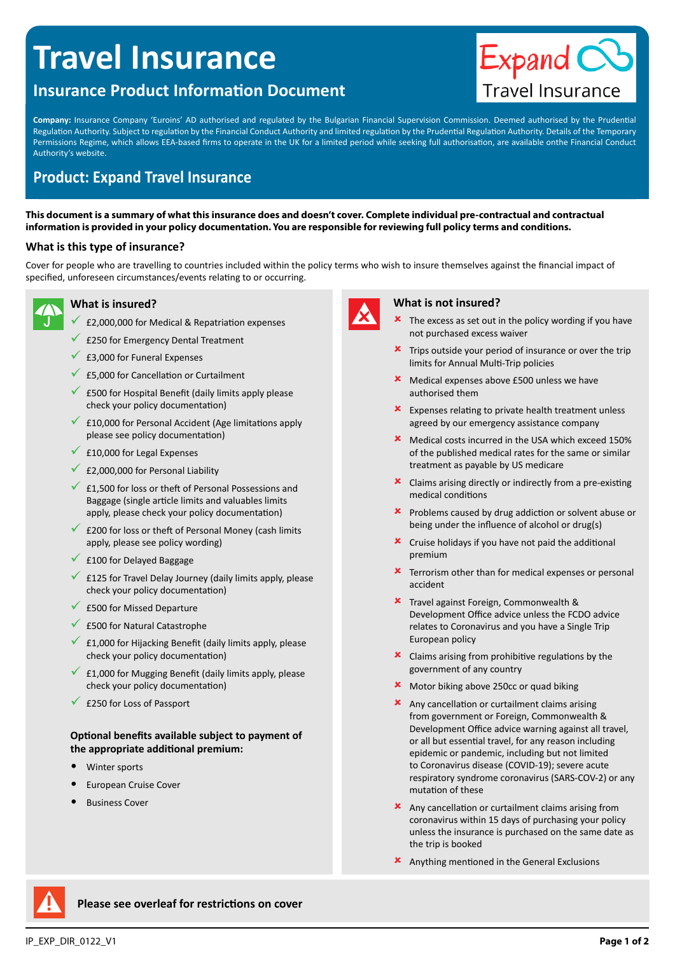# **Travel Insurance**

# **Insurance Product Information Document**



**Company:** Insurance Company 'Euroins' AD authorised and regulated by the Bulgarian Financial Supervision Commission. Deemed authorised by the Prudential Regulation Authority. Subject to regulation by the Financial Conduct Authority and limited regulation by the Prudential Regulation Authority. Details of the Temporary Permissions Regime, which allows EEA-based firms to operate in the UK for a limited period while seeking full authorisation, are available onthe Financial Conduct Authority's website.

# **Product: Expand Travel Insurance**

**This document is a summary of what this insurance does and doesn't cover. Complete individual pre-contractual and contractual information is provided in your policy documentation. You are responsible for reviewing full policy terms and conditions.**

# **What is this type of insurance?**

Cover for people who are travelling to countries included within the policy terms who wish to insure themselves against the financial impact of specified, unforeseen circumstances/events relating to or occurring.



# **What is insured?**

- $E$ 2,000,000 for Medical & Repatriation expenses
- $\sqrt{\ }$  £250 for Emergency Dental Treatment
- $\times$  £3,000 for Funeral Expenses
- $\sqrt{25,000}$  for Cancellation or Curtailment
- 9 £500 for Hospital Benefit (daily limits apply please check your policy documentation)
- 9 £10,000 for Personal Accident (Age limitations apply please see policy documentation)
- £10,000 for Legal Expenses
- $\sqrt{2}$  £2,000,000 for Personal Liability
- $\sqrt{2}$  £1,500 for loss or theft of Personal Possessions and Baggage (single article limits and valuables limits apply, please check your policy documentation)
- £200 for loss or theft of Personal Money (cash limits apply, please see policy wording)
- $\times$  £100 for Delayed Baggage
- $\overline{9}$  £125 for Travel Delay Journey (daily limits apply, please check your policy documentation)
- £500 for Missed Departure
- $\times$  £500 for Natural Catastrophe
- 9 £1,000 for Hijacking Benefit (daily limits apply, please check your policy documentation)
- £1,000 for Mugging Benefit (daily limits apply, please check your policy documentation)
- $\sqrt{\frac{250}{50}}$  for Loss of Passport

## **Optional benefits available subject to payment of the appropriate additional premium:**

- Winter sports
- European Cruise Cover
- Business Cover



#### **What is not insured?**

- The excess as set out in the policy wording if you have not purchased excess waiver
- Trips outside your period of insurance or over the trip limits for Annual Multi-Trip policies
- Medical expenses above £500 unless we have authorised them
- $\mathbf{\times}$  Expenses relating to private health treatment unless agreed by our emergency assistance company
- **X** Medical costs incurred in the USA which exceed 150% of the published medical rates for the same or similar treatment as payable by US medicare
- $\star$  Claims arising directly or indirectly from a pre-existing medical conditions
- 8 Problems caused by drug addiction or solvent abuse or being under the influence of alcohol or drug(s)
- $\boldsymbol{\times}$  Cruise holidays if you have not paid the additional premium
- Terrorism other than for medical expenses or personal accident
- 8 Travel against Foreign, Commonwealth & Development Office advice unless the FCDO advice relates to Coronavirus and you have a Single Trip European policy
- $\boldsymbol{\times}$  Claims arising from prohibitive regulations by the government of any country
- 8 Motor biking above 250cc or quad biking
- $\boldsymbol{\times}$  Any cancellation or curtailment claims arising from government or Foreign, Commonwealth & Development Office advice warning against all travel, or all but essential travel, for any reason including epidemic or pandemic, including but not limited to Coronavirus disease (COVID-19); severe acute respiratory syndrome coronavirus (SARS-COV-2) or any mutation of these
- $\boldsymbol{\times}$  Any cancellation or curtailment claims arising from coronavirus within 15 days of purchasing your policy unless the insurance is purchased on the same date as the trip is booked
- 8 Anything mentioned in the General Exclusions